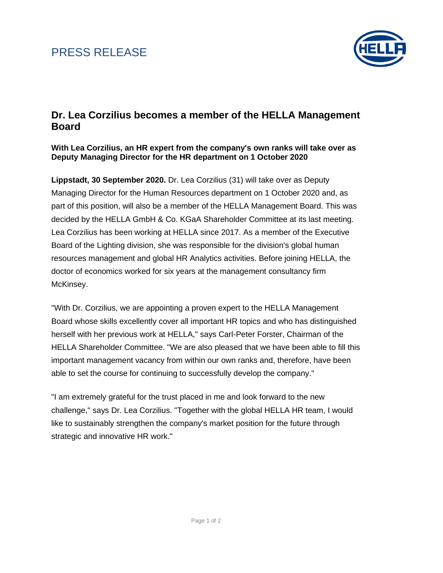# PRESS RELEASE



### **Dr. Lea Corzilius becomes a member of the HELLA Management Board**

**With Lea Corzilius, an HR expert from the company's own ranks will take over as Deputy Managing Director for the HR department on 1 October 2020**

**Lippstadt, 30 September 2020.** Dr. Lea Corzilius (31) will take over as Deputy Managing Director for the Human Resources department on 1 October 2020 and, as part of this position, will also be a member of the HELLA Management Board. This was decided by the HELLA GmbH & Co. KGaA Shareholder Committee at its last meeting. Lea Corzilius has been working at HELLA since 2017. As a member of the Executive Board of the Lighting division, she was responsible for the division's global human resources management and global HR Analytics activities. Before joining HELLA, the doctor of economics worked for six years at the management consultancy firm McKinsey.

"With Dr. Corzilius, we are appointing a proven expert to the HELLA Management Board whose skills excellently cover all important HR topics and who has distinguished herself with her previous work at HELLA," says Carl-Peter Forster, Chairman of the HELLA Shareholder Committee. "We are also pleased that we have been able to fill this important management vacancy from within our own ranks and, therefore, have been able to set the course for continuing to successfully develop the company."

"I am extremely grateful for the trust placed in me and look forward to the new challenge," says Dr. Lea Corzilius. "Together with the global HELLA HR team, I would like to sustainably strengthen the company's market position for the future through strategic and innovative HR work."